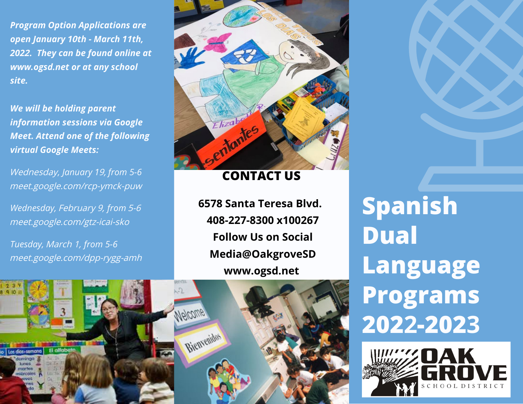*Program Option Applications are open January 1***0***th - March 1***1***th, 202***2***. They can be found online at www.ogsd.net or at any school site.*

*We will be holding parent information session***<sup>s</sup>** *via Google Meet. Attend one of the following virtual Google Meets:*

Wednesday*, January 1*9, *from 5-6*  meet.google.com/rcp-ymck-puw

*Wednesday,* February 9, *from* 5*-*6 meet.google.com/gtz-icai-sko

*Tuesday,* March 1, *from 5-6*  meet.google.com/dpp-rygg-amh



### **CONTACT US**

**6578 Santa Teresa Blvd. 408-227-8300 x100267 Follow Us on Social Media@OakgroveSD www.ogsd.net**

Melcome Bienvenidos Los dias-semana

**Spanish Dual Language Programs 2022-2023**